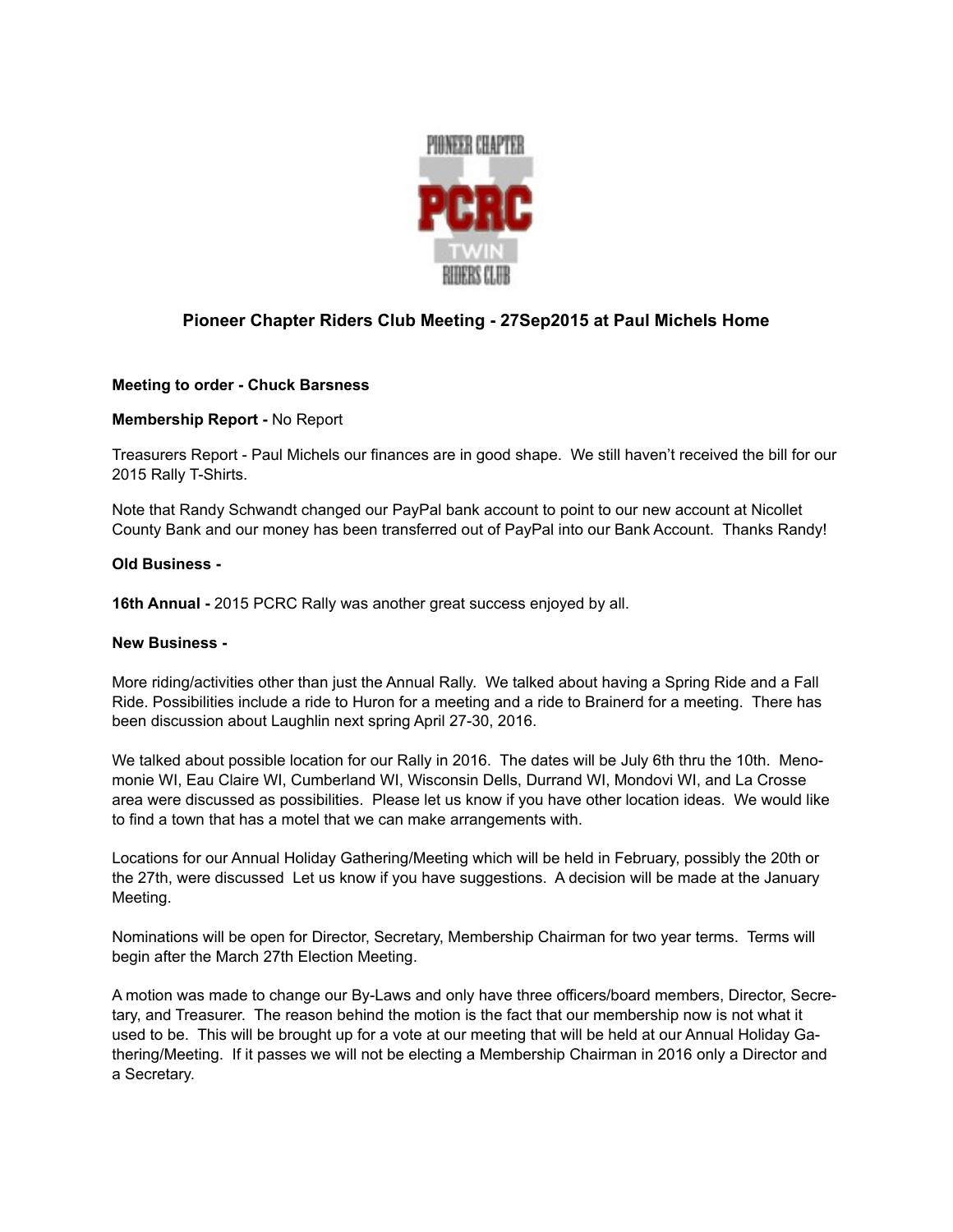

## **Pioneer Chapter Riders Club Meeting - 27Sep2015 at Paul Michels Home**

### **Meeting to order - Chuck Barsness**

**Membership Report -** No Report

Treasurers Report - Paul Michels our finances are in good shape. We still haven't received the bill for our 2015 Rally T-Shirts.

Note that Randy Schwandt changed our PayPal bank account to point to our new account at Nicollet County Bank and our money has been transferred out of PayPal into our Bank Account. Thanks Randy!

#### **Old Business -**

**16th Annual -** 2015 PCRC Rally was another great success enjoyed by all.

#### **New Business -**

More riding/activities other than just the Annual Rally. We talked about having a Spring Ride and a Fall Ride. Possibilities include a ride to Huron for a meeting and a ride to Brainerd for a meeting. There has been discussion about Laughlin next spring April 27-30, 2016.

We talked about possible location for our Rally in 2016. The dates will be July 6th thru the 10th. Menomonie WI, Eau Claire WI, Cumberland WI, Wisconsin Dells, Durrand WI, Mondovi WI, and La Crosse area were discussed as possibilities. Please let us know if you have other location ideas. We would like to find a town that has a motel that we can make arrangements with.

Locations for our Annual Holiday Gathering/Meeting which will be held in February, possibly the 20th or the 27th, were discussed Let us know if you have suggestions. A decision will be made at the January Meeting.

Nominations will be open for Director, Secretary, Membership Chairman for two year terms. Terms will begin after the March 27th Election Meeting.

A motion was made to change our By-Laws and only have three officers/board members, Director, Secretary, and Treasurer. The reason behind the motion is the fact that our membership now is not what it used to be. This will be brought up for a vote at our meeting that will be held at our Annual Holiday Gathering/Meeting. If it passes we will not be electing a Membership Chairman in 2016 only a Director and a Secretary.